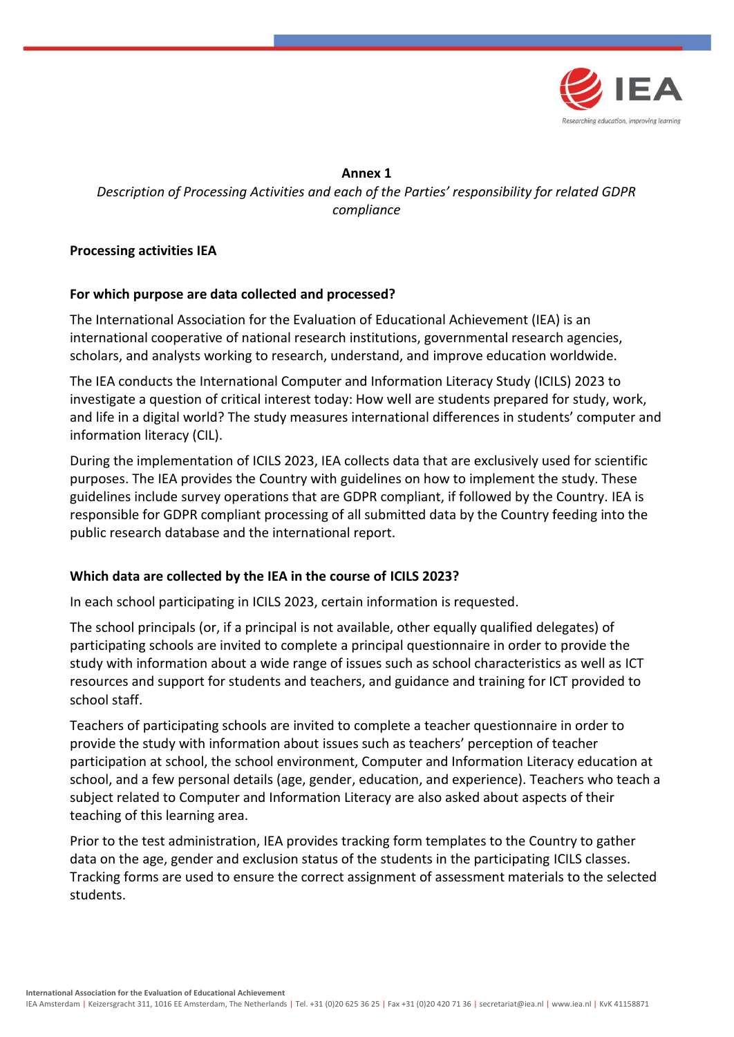

**Annex 1** *Description of Processing Activities and each of the Parties' responsibility for related GDPR compliance*

## **Processing activities IEA**

### **For which purpose are data collected and processed?**

The International Association for the Evaluation of Educational Achievement (IEA) is an international cooperative of national research institutions, governmental research agencies, scholars, and analysts working to research, understand, and improve education worldwide.

The IEA conducts the International Computer and Information Literacy Study (ICILS) 2023 to investigate a question of critical interest today: How well are students prepared for study, work, and life in a digital world? The study measures international differences in students' computer and information literacy (CIL).

During the implementation of ICILS 2023, IEA collects data that are exclusively used for scientific purposes. The IEA provides the Country with guidelines on how to implement the study. These guidelines include survey operations that are GDPR compliant, if followed by the Country. IEA is responsible for GDPR compliant processing of all submitted data by the Country feeding into the public research database and the international report.

### **Which data are collected by the IEA in the course of ICILS 2023?**

In each school participating in ICILS 2023, certain information is requested.

The school principals (or, if a principal is not available, other equally qualified delegates) of participating schools are invited to complete a principal questionnaire in order to provide the study with information about a wide range of issues such as school characteristics as well as ICT resources and support for students and teachers, and guidance and training for ICT provided to school staff.

Teachers of participating schools are invited to complete a teacher questionnaire in order to provide the study with information about issues such as teachers' perception of teacher participation at school, the school environment, Computer and Information Literacy education at school, and a few personal details (age, gender, education, and experience). Teachers who teach a subject related to Computer and Information Literacy are also asked about aspects of their teaching of this learning area.

Prior to the test administration, IEA provides tracking form templates to the Country to gather data on the age, gender and exclusion status of the students in the participating ICILS classes. Tracking forms are used to ensure the correct assignment of assessment materials to the selected students.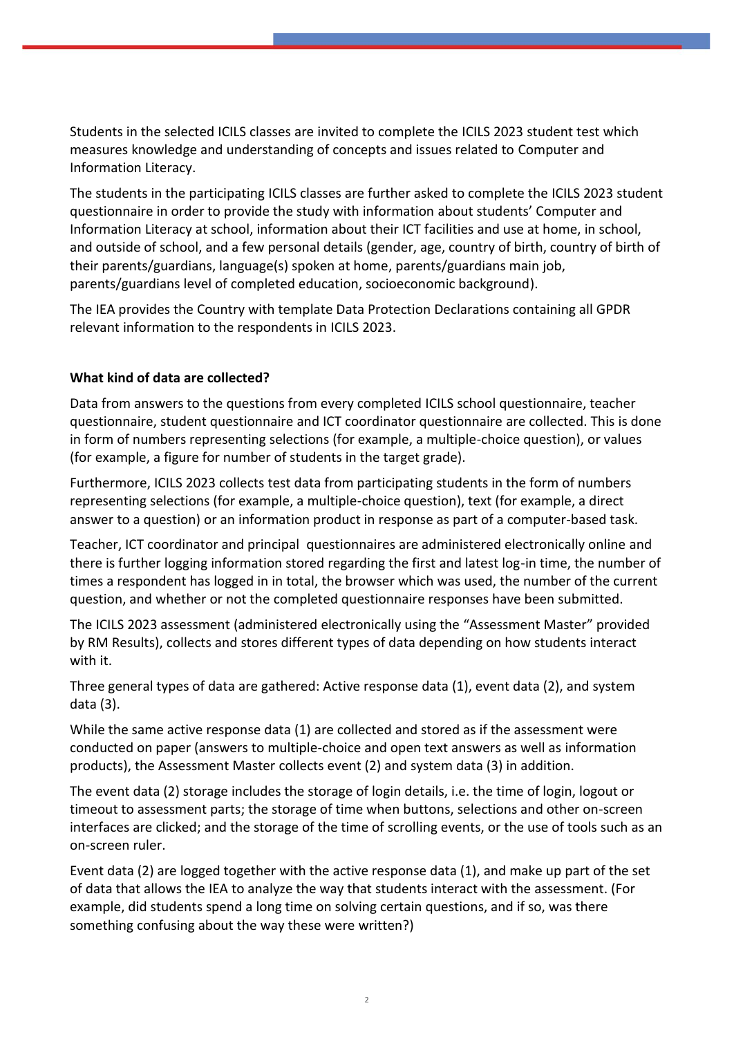Students in the selected ICILS classes are invited to complete the ICILS 2023 student test which measures knowledge and understanding of concepts and issues related to Computer and Information Literacy.

The students in the participating ICILS classes are further asked to complete the ICILS 2023 student questionnaire in order to provide the study with information about students' Computer and Information Literacy at school, information about their ICT facilities and use at home, in school, and outside of school, and a few personal details (gender, age, country of birth, country of birth of their parents/guardians, language(s) spoken at home, parents/guardians main job, parents/guardians level of completed education, socioeconomic background).

The IEA provides the Country with template Data Protection Declarations containing all GPDR relevant information to the respondents in ICILS 2023.

# **What kind of data are collected?**

Data from answers to the questions from every completed ICILS school questionnaire, teacher questionnaire, student questionnaire and ICT coordinator questionnaire are collected. This is done in form of numbers representing selections (for example, a multiple-choice question), or values (for example, a figure for number of students in the target grade).

Furthermore, ICILS 2023 collects test data from participating students in the form of numbers representing selections (for example, a multiple-choice question), text (for example, a direct answer to a question) or an information product in response as part of a computer-based task.

Teacher, ICT coordinator and principal questionnaires are administered electronically online and there is further logging information stored regarding the first and latest log-in time, the number of times a respondent has logged in in total, the browser which was used, the number of the current question, and whether or not the completed questionnaire responses have been submitted.

The ICILS 2023 assessment (administered electronically using the "Assessment Master" provided by RM Results), collects and stores different types of data depending on how students interact with it.

Three general types of data are gathered: Active response data (1), event data (2), and system data (3).

While the same active response data (1) are collected and stored as if the assessment were conducted on paper (answers to multiple-choice and open text answers as well as information products), the Assessment Master collects event (2) and system data (3) in addition.

The event data (2) storage includes the storage of login details, i.e. the time of login, logout or timeout to assessment parts; the storage of time when buttons, selections and other on-screen interfaces are clicked; and the storage of the time of scrolling events, or the use of tools such as an on-screen ruler.

Event data (2) are logged together with the active response data (1), and make up part of the set of data that allows the IEA to analyze the way that students interact with the assessment. (For example, did students spend a long time on solving certain questions, and if so, was there something confusing about the way these were written?)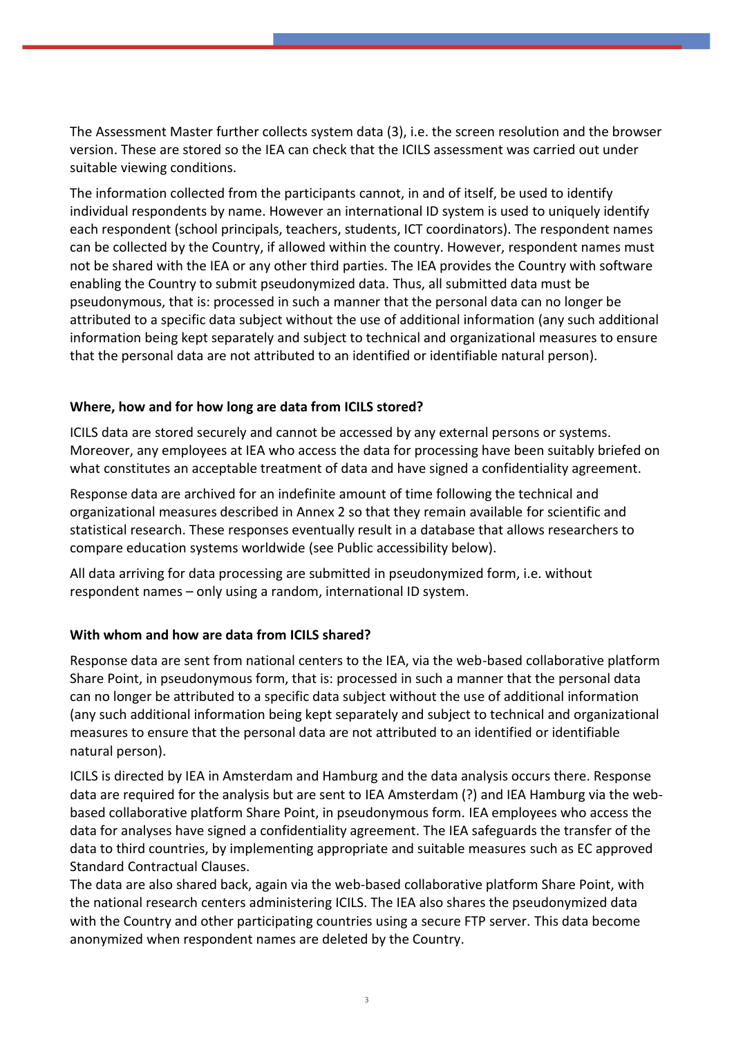The Assessment Master further collects system data (3), i.e. the screen resolution and the browser version. These are stored so the IEA can check that the ICILS assessment was carried out under suitable viewing conditions.

The information collected from the participants cannot, in and of itself, be used to identify individual respondents by name. However an international ID system is used to uniquely identify each respondent (school principals, teachers, students, ICT coordinators). The respondent names can be collected by the Country, if allowed within the country. However, respondent names must not be shared with the IEA or any other third parties. The IEA provides the Country with software enabling the Country to submit pseudonymized data. Thus, all submitted data must be pseudonymous, that is: processed in such a manner that the personal data can no longer be attributed to a specific data subject without the use of additional information (any such additional information being kept separately and subject to technical and organizational measures to ensure that the personal data are not attributed to an identified or identifiable natural person).

## **Where, how and for how long are data from ICILS stored?**

ICILS data are stored securely and cannot be accessed by any external persons or systems. Moreover, any employees at IEA who access the data for processing have been suitably briefed on what constitutes an acceptable treatment of data and have signed a confidentiality agreement.

Response data are archived for an indefinite amount of time following the technical and organizational measures described in Annex 2 so that they remain available for scientific and statistical research. These responses eventually result in a database that allows researchers to compare education systems worldwide (see Public accessibility below).

All data arriving for data processing are submitted in pseudonymized form, i.e. without respondent names – only using a random, international ID system.

### **With whom and how are data from ICILS shared?**

Response data are sent from national centers to the IEA, via the web-based collaborative platform Share Point, in pseudonymous form, that is: processed in such a manner that the personal data can no longer be attributed to a specific data subject without the use of additional information (any such additional information being kept separately and subject to technical and organizational measures to ensure that the personal data are not attributed to an identified or identifiable natural person).

ICILS is directed by IEA in Amsterdam and Hamburg and the data analysis occurs there. Response data are required for the analysis but are sent to IEA Amsterdam (?) and IEA Hamburg via the webbased collaborative platform Share Point, in pseudonymous form. IEA employees who access the data for analyses have signed a confidentiality agreement. The IEA safeguards the transfer of the data to third countries, by implementing appropriate and suitable measures such as EC approved Standard Contractual Clauses.

The data are also shared back, again via the web-based collaborative platform Share Point, with the national research centers administering ICILS. The IEA also shares the pseudonymized data with the Country and other participating countries using a secure FTP server. This data become anonymized when respondent names are deleted by the Country.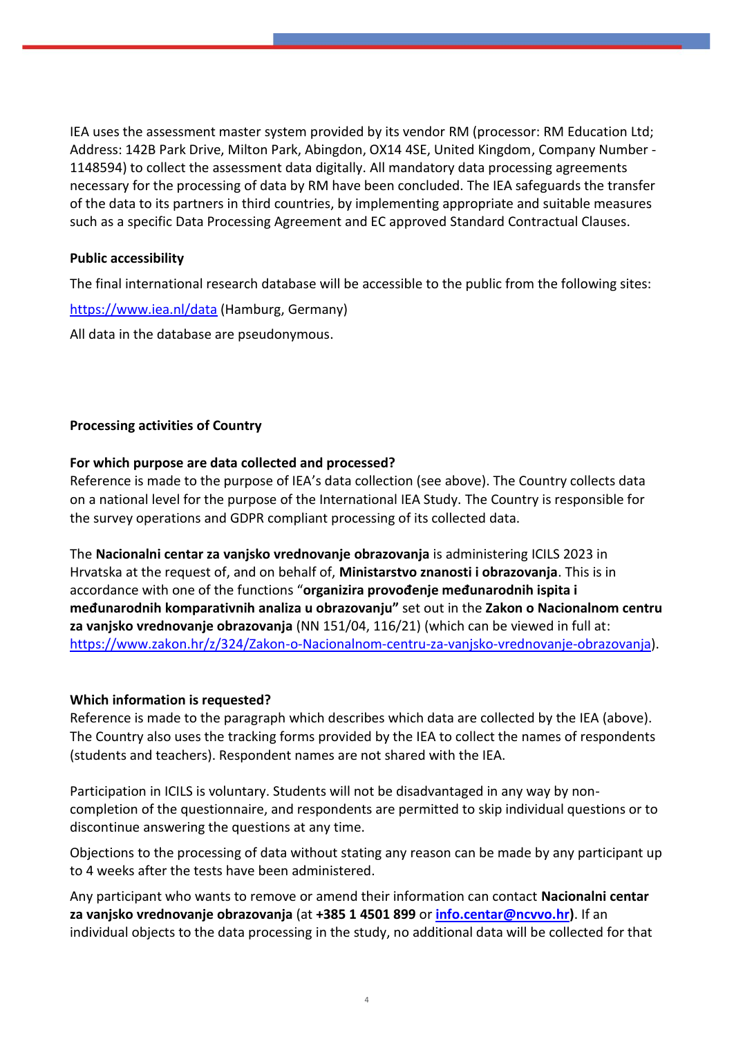IEA uses the assessment master system provided by its vendor RM (processor: RM Education Ltd; Address: 142B Park Drive, Milton Park, Abingdon, OX14 4SE, United Kingdom, Company Number - 1148594) to collect the assessment data digitally. All mandatory data processing agreements necessary for the processing of data by RM have been concluded. The IEA safeguards the transfer of the data to its partners in third countries, by implementing appropriate and suitable measures such as a specific Data Processing Agreement and EC approved Standard Contractual Clauses.

### **Public accessibility**

The final international research database will be accessible to the public from the following sites:

<https://www.iea.nl/data> (Hamburg, Germany) All data in the database are pseudonymous.

## **Processing activities of Country**

### **For which purpose are data collected and processed?**

Reference is made to the purpose of IEA's data collection (see above). The Country collects data on a national level for the purpose of the International IEA Study. The Country is responsible for the survey operations and GDPR compliant processing of its collected data.

The **Nacionalni centar za vanjsko vrednovanje obrazovanja** is administering ICILS 2023 in Hrvatska at the request of, and on behalf of, **Ministarstvo znanosti i obrazovanja**. This is in accordance with one of the functions "**organizira provođenje međunarodnih ispita i međunarodnih komparativnih analiza u obrazovanju"** set out in the **Zakon o Nacionalnom centru za vanjsko vrednovanje obrazovanja** (NN 151/04, 116/21) (which can be viewed in full at: [https://www.zakon.hr/z/324/Zakon-o-Nacionalnom-centru-za-vanjsko-vrednovanje-obrazovanja\)](https://www.zakon.hr/z/324/Zakon-o-Nacionalnom-centru-za-vanjsko-vrednovanje-obrazovanja).

### **Which information is requested?**

Reference is made to the paragraph which describes which data are collected by the IEA (above). The Country also uses the tracking forms provided by the IEA to collect the names of respondents (students and teachers). Respondent names are not shared with the IEA.

Participation in ICILS is voluntary. Students will not be disadvantaged in any way by noncompletion of the questionnaire, and respondents are permitted to skip individual questions or to discontinue answering the questions at any time.

Objections to the processing of data without stating any reason can be made by any participant up to 4 weeks after the tests have been administered.

Any participant who wants to remove or amend their information can contact **Nacionalni centar za vanjsko vrednovanje obrazovanja** (at **+385 1 4501 899** or **[info.centar@ncvvo.hr\)](mailto:info.centar@ncvvo.hr)**. If an individual objects to the data processing in the study, no additional data will be collected for that